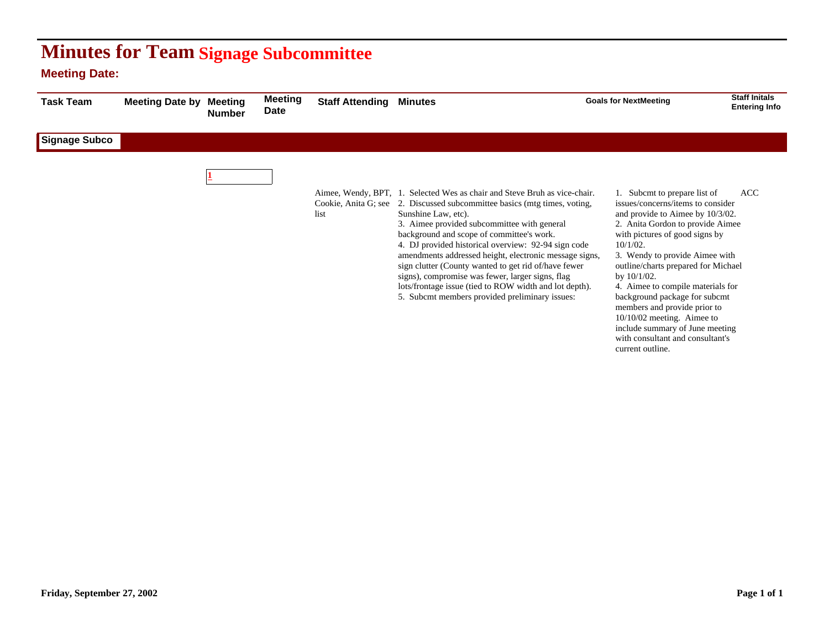## **Minutes for Team Signage Subcommittee**

## **Meeting Date:**

| <b>Task Team</b> | <b>Meeting Date by</b> | <b>Meeting</b><br><b>Number</b> | <b>Meeting</b><br><b>Date</b> | <b>Staff Attending</b> | <b>Minutes</b>                                                                                                                                                                                                                                                                                                                                                                                                                                                                                                                                                                                                     | <b>Goals for NextMeeting</b>                                                                                                                                                                                                                                                                                                                                                                                                                                                                                        | <b>Staff Initals</b><br><b>Entering Info</b> |
|------------------|------------------------|---------------------------------|-------------------------------|------------------------|--------------------------------------------------------------------------------------------------------------------------------------------------------------------------------------------------------------------------------------------------------------------------------------------------------------------------------------------------------------------------------------------------------------------------------------------------------------------------------------------------------------------------------------------------------------------------------------------------------------------|---------------------------------------------------------------------------------------------------------------------------------------------------------------------------------------------------------------------------------------------------------------------------------------------------------------------------------------------------------------------------------------------------------------------------------------------------------------------------------------------------------------------|----------------------------------------------|
| Signage Subco    |                        |                                 |                               |                        |                                                                                                                                                                                                                                                                                                                                                                                                                                                                                                                                                                                                                    |                                                                                                                                                                                                                                                                                                                                                                                                                                                                                                                     |                                              |
|                  |                        |                                 |                               | list                   | Aimee, Wendy, BPT, 1. Selected Wes as chair and Steve Bruh as vice-chair.<br>Cookie, Anita G; see 2. Discussed subcommittee basics (mtg times, voting,<br>Sunshine Law, etc).<br>3. Aimee provided subcommittee with general<br>background and scope of committee's work.<br>4. DJ provided historical overview: 92-94 sign code<br>amendments addressed height, electronic message signs,<br>sign clutter (County wanted to get rid of/have fewer<br>signs), compromise was fewer, larger signs, flag<br>lots/frontage issue (tied to ROW width and lot depth).<br>5. Subcmt members provided preliminary issues: | 1. Subcmt to prepare list of<br>issues/concerns/items to consider<br>and provide to Aimee by 10/3/02.<br>2. Anita Gordon to provide Aimee<br>with pictures of good signs by<br>$10/1/02$ .<br>3. Wendy to provide Aimee with<br>outline/charts prepared for Michael<br>by 10/1/02.<br>4. Aimee to compile materials for<br>background package for subcmt<br>members and provide prior to<br>$10/10/02$ meeting. Aimee to<br>include summary of June meeting<br>with consultant and consultant's<br>current outline. | <b>ACC</b>                                   |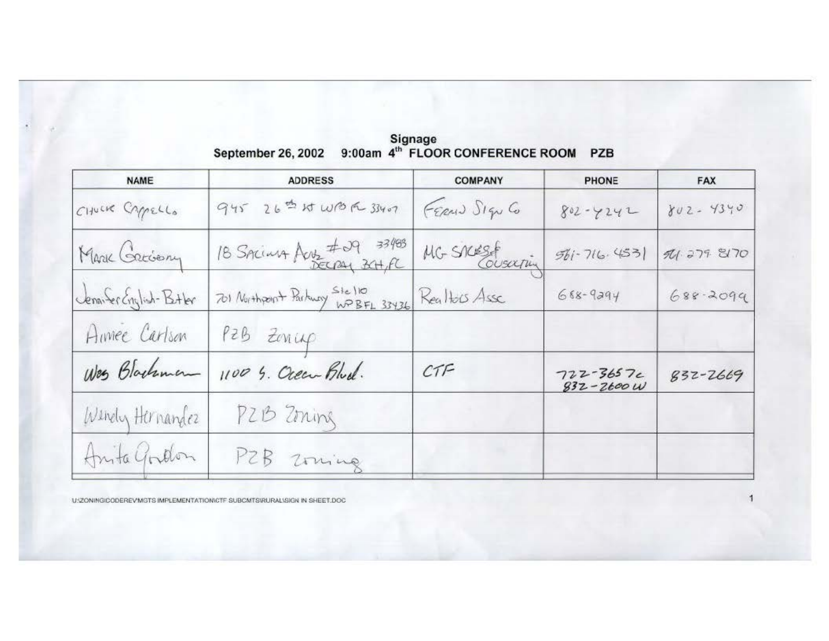| <b>NAME</b>             | <b>ADDRESS</b>                                             | <b>COMPANY</b> | PHONE                           | <b>FAX</b>   |
|-------------------------|------------------------------------------------------------|----------------|---------------------------------|--------------|
| CHUCK CAPPELLO          | 945 26 th WBR 33407                                        | FERMI SIGN CO  | $802 - 4242$                    | $802 - 4340$ |
| Marie Greciany          | 18 SACINA Aus #29 33483                                    | MG SACESF      | $561 - 716.453$                 | 74.279.8170  |
| Jennifer English-Bitler | 701 Northport Parkway Stello<br>WP BFL 33436 Realtocs Asse |                | $688 - 9294$                    | $688 - 2099$ |
| Aimee Carlson           | PZB ZONLAP                                                 |                |                                 |              |
| Was Blackman            | 1100 S. Ocean Blud.                                        | CTF            | $722 - 3657c$<br>$832 - 2600$ W | 832-2669     |
| Windy Hernandez         | PZB Zoning                                                 |                |                                 |              |
| Anita Gordon            | PZB Zoning                                                 |                |                                 |              |
|                         |                                                            |                |                                 |              |

Signage<br>September 26, 2002 9:00am 4<sup>th</sup> FLOOR CONFERENCE ROOM PZB

U:ZONINGICODEREV MGTS IMPLEMENTATION/CTF SUBCMTS/RURAL\SIGN IN SHEET.DOC

Ň